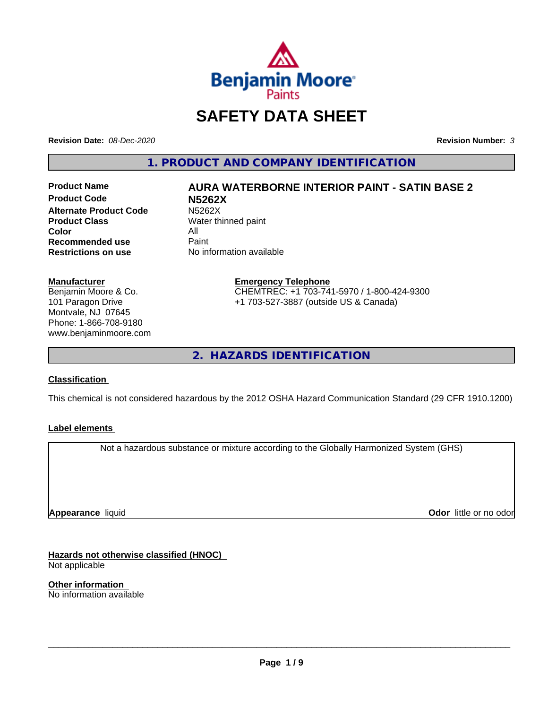

## **SAFETY DATA SHEET**

**Revision Date:** *08-Dec-2020* **Revision Number:** *3*

**1. PRODUCT AND COMPANY IDENTIFICATION**

**Product Code N5262X Alternate Product Code M5262X**<br> **Product Class Mater th** Water th **Color** All<br> **Recommended use** Paint **Recommended use**<br>Restrictions on use

# **Product Name AURA WATERBORNE INTERIOR PAINT - SATIN BASE 2**

**Water thinned paint No information available** 

### **Manufacturer**

Benjamin Moore & Co. 101 Paragon Drive Montvale, NJ 07645 Phone: 1-866-708-9180 www.benjaminmoore.com

### **Emergency Telephone** CHEMTREC: +1 703-741-5970 / 1-800-424-9300 +1 703-527-3887 (outside US & Canada)

**2. HAZARDS IDENTIFICATION**

### **Classification**

This chemical is not considered hazardous by the 2012 OSHA Hazard Communication Standard (29 CFR 1910.1200)

### **Label elements**

Not a hazardous substance or mixture according to the Globally Harmonized System (GHS)

**Appearance** liquid

**Odor** little or no odor

**Hazards not otherwise classified (HNOC)** Not applicable

**Other information** No information available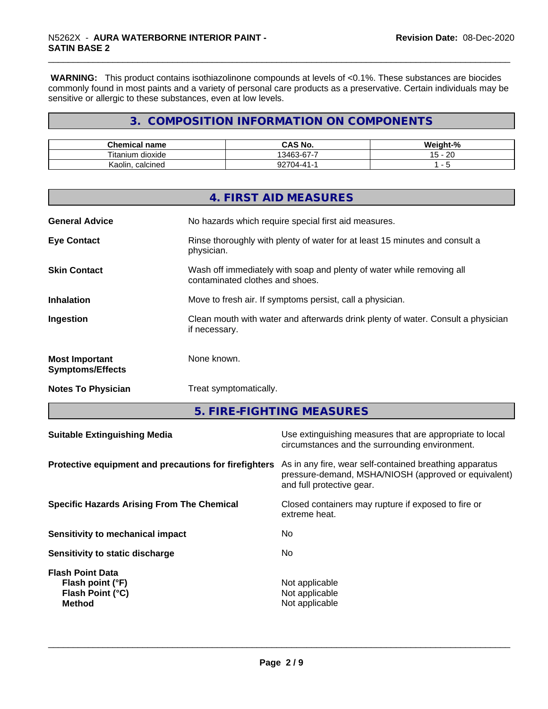**WARNING:** This product contains isothiazolinone compounds at levels of <0.1%. These substances are biocides commonly found in most paints and a variety of personal care products as a preservative. Certain individuals may be sensitive or allergic to these substances, even at low levels.

### **3. COMPOSITION INFORMATION ON COMPONENTS**

| <b>Chemical name</b>            | O NU<br>r۸<br>CAS No.      | <br>$\sim$<br>- 70             |
|---------------------------------|----------------------------|--------------------------------|
| <b>Titaniu</b><br>dioxide<br>um | $\sim$<br>-<br>13463<br>ີບ | ററ<br>$\cdot$ $\sim$<br>∠⊾<br> |
| calcined<br>Kaolin              | ~~~<br>$(14 - 41 -$        |                                |

|                                                  | 4. FIRST AID MEASURES                                                                                    |
|--------------------------------------------------|----------------------------------------------------------------------------------------------------------|
| <b>General Advice</b>                            | No hazards which require special first aid measures.                                                     |
| <b>Eye Contact</b>                               | Rinse thoroughly with plenty of water for at least 15 minutes and consult a<br>physician.                |
| <b>Skin Contact</b>                              | Wash off immediately with soap and plenty of water while removing all<br>contaminated clothes and shoes. |
| <b>Inhalation</b>                                | Move to fresh air. If symptoms persist, call a physician.                                                |
| Ingestion                                        | Clean mouth with water and afterwards drink plenty of water. Consult a physician<br>if necessary.        |
| <b>Most Important</b><br><b>Symptoms/Effects</b> | None known.                                                                                              |
| <b>Notes To Physician</b>                        | Treat symptomatically.                                                                                   |

**5. FIRE-FIGHTING MEASURES**

| Protective equipment and precautions for firefighters<br>As in any fire, wear self-contained breathing apparatus<br>pressure-demand, MSHA/NIOSH (approved or equivalent) |  |
|--------------------------------------------------------------------------------------------------------------------------------------------------------------------------|--|
| and full protective gear.                                                                                                                                                |  |
| Closed containers may rupture if exposed to fire or<br><b>Specific Hazards Arising From The Chemical</b><br>extreme heat.                                                |  |
| No.<br>Sensitivity to mechanical impact                                                                                                                                  |  |
| No.<br>Sensitivity to static discharge                                                                                                                                   |  |
| <b>Flash Point Data</b><br>Not applicable<br>Flash point (°F)<br>Flash Point (°C)<br>Not applicable<br>Not applicable<br><b>Method</b>                                   |  |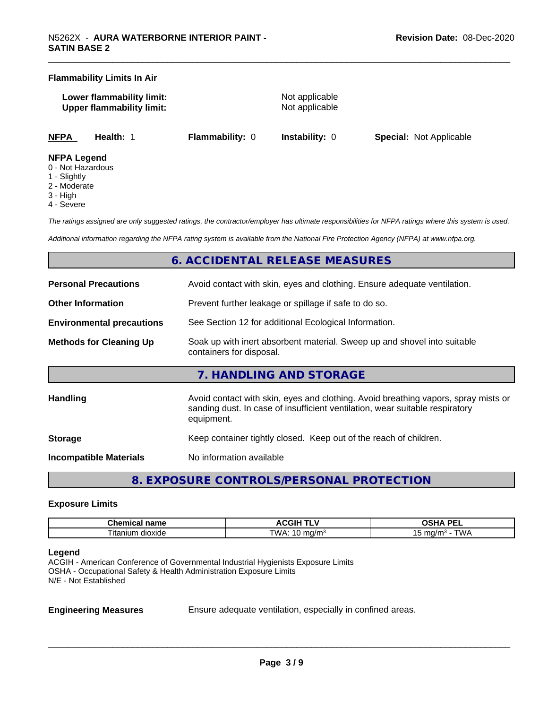### **Flammability Limits In Air**

| Lower flammability limit:        |  |
|----------------------------------|--|
| <b>Upper flammability limit:</b> |  |

**Not applicable Not applicable** 

**NFPA Health:** 1 **Flammability:** 0 **Instability:** 0 **Special:** Not Applicable

### **NFPA Legend**

- 0 Not Hazardous
- 1 Slightly
- 2 Moderate
- 3 High
- 4 Severe

*The ratings assigned are only suggested ratings, the contractor/employer has ultimate responsibilities for NFPA ratings where this system is used.*

*Additional information regarding the NFPA rating system is available from the National Fire Protection Agency (NFPA) at www.nfpa.org.*

### **6. ACCIDENTAL RELEASE MEASURES**

| <b>Personal Precautions</b>      | Avoid contact with skin, eyes and clothing. Ensure adequate ventilation.                                                                                                         |  |
|----------------------------------|----------------------------------------------------------------------------------------------------------------------------------------------------------------------------------|--|
| <b>Other Information</b>         | Prevent further leakage or spillage if safe to do so.                                                                                                                            |  |
| <b>Environmental precautions</b> | See Section 12 for additional Ecological Information.                                                                                                                            |  |
| <b>Methods for Cleaning Up</b>   | Soak up with inert absorbent material. Sweep up and shovel into suitable<br>containers for disposal.                                                                             |  |
|                                  | 7. HANDLING AND STORAGE                                                                                                                                                          |  |
| <b>Handling</b>                  | Avoid contact with skin, eyes and clothing. Avoid breathing vapors, spray mists or<br>sanding dust. In case of insufficient ventilation, wear suitable respiratory<br>equipment. |  |
| <b>Storage</b>                   | Keep container tightly closed. Keep out of the reach of children.                                                                                                                |  |
| Incompatible Materials           | No information available                                                                                                                                                         |  |

**8. EXPOSURE CONTROLS/PERSONAL PROTECTION**

### **Exposure Limits**

| name<br>Chemical<br>пане | . .<br>.GIF<br>"<br>. .<br>$\ddot{\phantom{0}}$ | <b>DEI</b><br>n<br>--<br>$-$<br>-- |
|--------------------------|-------------------------------------------------|------------------------------------|
| m dioxide<br>l Itanium   | <b>TMA</b><br>ma/mª<br>. .                      | ™ட<br>ma/n<br>.                    |

### **Legend**

ACGIH - American Conference of Governmental Industrial Hygienists Exposure Limits OSHA - Occupational Safety & Health Administration Exposure Limits N/E - Not Established

**Engineering Measures** Ensure adequate ventilation, especially in confined areas.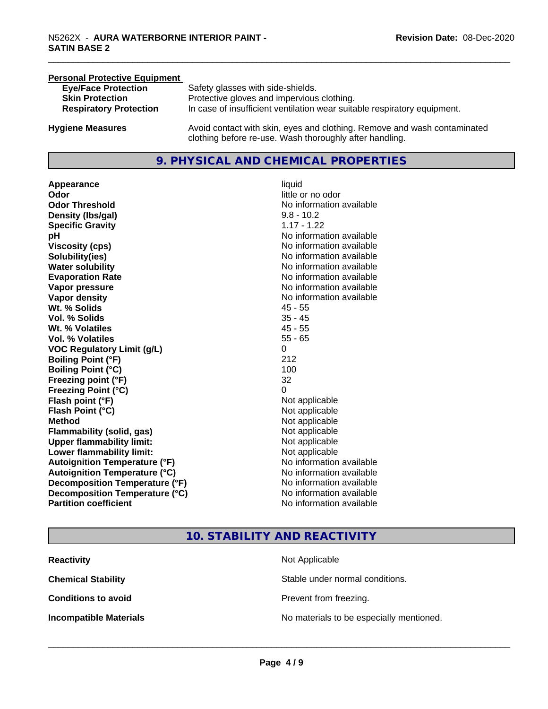### **Personal Protective Equipment Eye/Face Protection** Safety glasses with side-shields.<br> **Skin Protection** Protective gloves and impervious Protective gloves and impervious clothing. **Respiratory Protection** In case of insufficient ventilation wear suitable respiratory equipment. **Hygiene Measures** Avoid contact with skin, eyes and clothing. Remove and wash contaminated clothing before re-use. Wash thoroughly after handling.

### **9. PHYSICAL AND CHEMICAL PROPERTIES**

**Appearance** liquid **Odor**<br> **Odor Threshold**<br> **Odor Threshold**<br> **CODOR**<br> **CODOR**<br> **CODOR**<br> **CODOR**<br> **CODOR**<br> **CODOR**<br> **CODOR**<br> **CODOR**<br> **CODOR**<br> **CODOR Density (lbs/gal)** 9.8 - 10.2 **Specific Gravity** 1.17 - 1.22 **pH pH**  $\blacksquare$ **Viscosity (cps)** No information available **Solubility(ies)** No information available **Water solubility** No information available **Evaporation Rate No information available No information available Vapor pressure** No information available **Vapor density** No information available **Wt. % Solids** 45 - 55 **Vol. % Solids** 35 - 45 **Wt. % Volatiles** 45 - 55 **Vol. % Volatiles VOC Regulatory Limit (g/L)** 0 **Boiling Point (°F)** 212 **Boiling Point**  $(°C)$  100 **Freezing point (°F)** 32 **Freezing Point (°C)** 0 **Flash point (°F)**<br> **Flash Point (°C)**<br> **Flash Point (°C)**<br> **Not** applicable **Flash Point (°C) Method** Not applicable Not applicable **Flammability (solid, gas)** Not applicable **Upper flammability limit:** Not applicable **Lower flammability limit:** Not applicable **Autoignition Temperature (°F)** No information available **Autoignition Temperature (°C)** No information available **Decomposition Temperature (°F)**<br> **Decomposition Temperature (°C)** No information available **Decomposition Temperature (°C) Partition coefficient Contract Contract Contract Contract Contract Contract Contract Contract Contract Contract Contract Contract Contract Contract Contract Contract Contract Contract Contract Contract Contract Contract** 

# **No information available**

### **10. STABILITY AND REACTIVITY**

| <b>Reactivity</b>             | Not Applicable                           |
|-------------------------------|------------------------------------------|
| <b>Chemical Stability</b>     | Stable under normal conditions.          |
| <b>Conditions to avoid</b>    | Prevent from freezing.                   |
| <b>Incompatible Materials</b> | No materials to be especially mentioned. |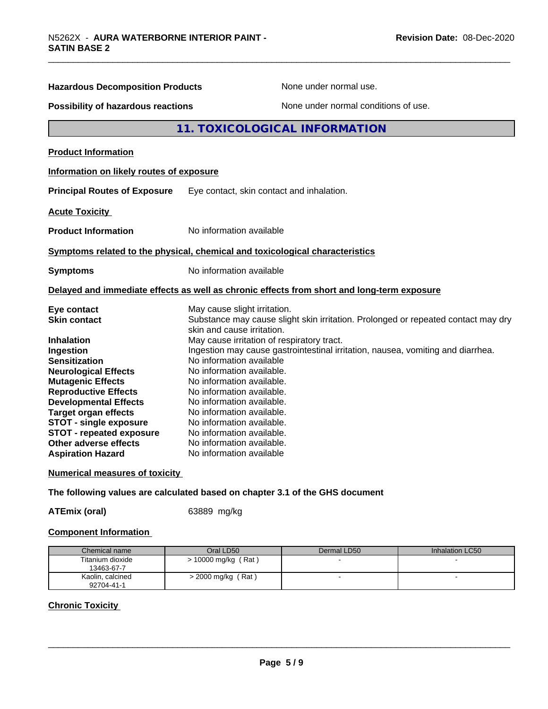| <b>Hazardous Decomposition Products</b>   | None under normal use.                                                                     |
|-------------------------------------------|--------------------------------------------------------------------------------------------|
| <b>Possibility of hazardous reactions</b> | None under normal conditions of use.                                                       |
|                                           | <b>11. TOXICOLOGICAL INFORMATION</b>                                                       |
| <b>Product Information</b>                |                                                                                            |
| Information on likely routes of exposure  |                                                                                            |
| <b>Principal Routes of Exposure</b>       | Eye contact, skin contact and inhalation.                                                  |
| <b>Acute Toxicity</b>                     |                                                                                            |
| <b>Product Information</b>                | No information available                                                                   |
|                                           | Symptoms related to the physical, chemical and toxicological characteristics               |
| <b>Symptoms</b>                           | No information available                                                                   |
|                                           | Delayed and immediate effects as well as chronic effects from short and long-term exposure |
| Eye contact                               | May cause slight irritation.                                                               |
| <b>Skin contact</b>                       | Substance may cause slight skin irritation. Prolonged or repeated contact may dry          |
| <b>Inhalation</b>                         | skin and cause irritation.<br>May cause irritation of respiratory tract.                   |
| Ingestion                                 | Ingestion may cause gastrointestinal irritation, nausea, vomiting and diarrhea.            |
| <b>Sensitization</b>                      | No information available                                                                   |
| <b>Neurological Effects</b>               | No information available.                                                                  |
| <b>Mutagenic Effects</b>                  | No information available.                                                                  |
| <b>Reproductive Effects</b>               | No information available.                                                                  |
| <b>Developmental Effects</b>              | No information available.                                                                  |
| <b>Target organ effects</b>               | No information available.                                                                  |
| <b>STOT - single exposure</b>             | No information available.                                                                  |
| <b>STOT - repeated exposure</b>           | No information available.                                                                  |
| Other adverse effects                     | No information available.                                                                  |
| <b>Aspiration Hazard</b>                  | No information available                                                                   |
| <b>Numerical measures of toxicity</b>     |                                                                                            |

**The following values are calculated based on chapter 3.1 of the GHS document**

**ATEmix (oral)** 63889 mg/kg

### **Component Information**

| Chemical name    | Oral LD50            | Dermal LD50 | Inhalation LC50 |
|------------------|----------------------|-------------|-----------------|
| Titanium dioxide | > 10000 mg/kg (Rat)  |             |                 |
| 13463-67-7       |                      |             |                 |
| Kaolin, calcined | $>$ 2000 mg/kg (Rat) |             |                 |
| 92704-41-1       |                      |             |                 |

### **Chronic Toxicity**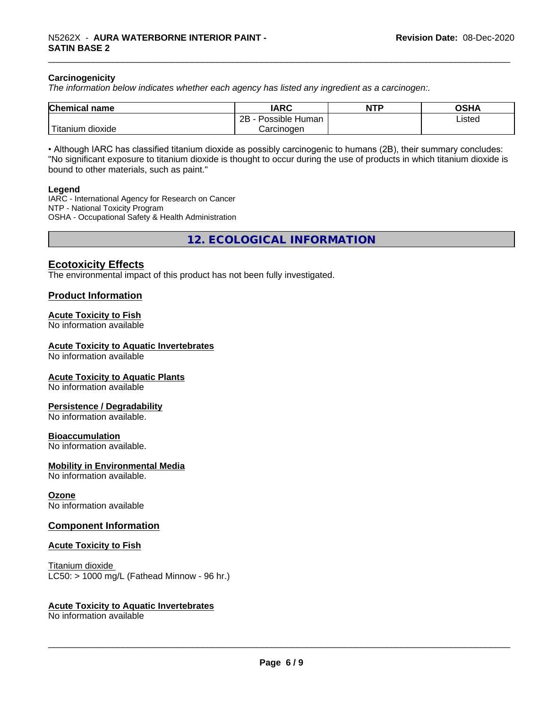### **Carcinogenicity**

*The information below indicateswhether each agency has listed any ingredient as a carcinogen:.*

| <b>Chemical name</b>                    | <b>IARC</b>                    | <b>NTP</b> | ៱ເມ∧<br>שטש |
|-----------------------------------------|--------------------------------|------------|-------------|
|                                         | .<br>2B<br>-<br>Possible Human |            | Listed      |
| والمتعاصر المراد<br>dioxide<br>Titanium | Carcinogen                     |            |             |

• Although IARC has classified titanium dioxide as possibly carcinogenic to humans (2B), their summary concludes: "No significant exposure to titanium dioxide is thought to occur during the use of products in which titanium dioxide is bound to other materials, such as paint."

### **Legend**

IARC - International Agency for Research on Cancer NTP - National Toxicity Program OSHA - Occupational Safety & Health Administration

**12. ECOLOGICAL INFORMATION**

### **Ecotoxicity Effects**

The environmental impact of this product has not been fully investigated.

### **Product Information**

### **Acute Toxicity to Fish**

No information available

### **Acute Toxicity to Aquatic Invertebrates**

No information available

### **Acute Toxicity to Aquatic Plants**

No information available

### **Persistence / Degradability**

No information available.

### **Bioaccumulation**

No information available.

### **Mobility in Environmental Media**

No information available.

### **Ozone**

No information available

### **Component Information**

### **Acute Toxicity to Fish**

Titanium dioxide  $LC50:$  > 1000 mg/L (Fathead Minnow - 96 hr.)

### **Acute Toxicity to Aquatic Invertebrates**

No information available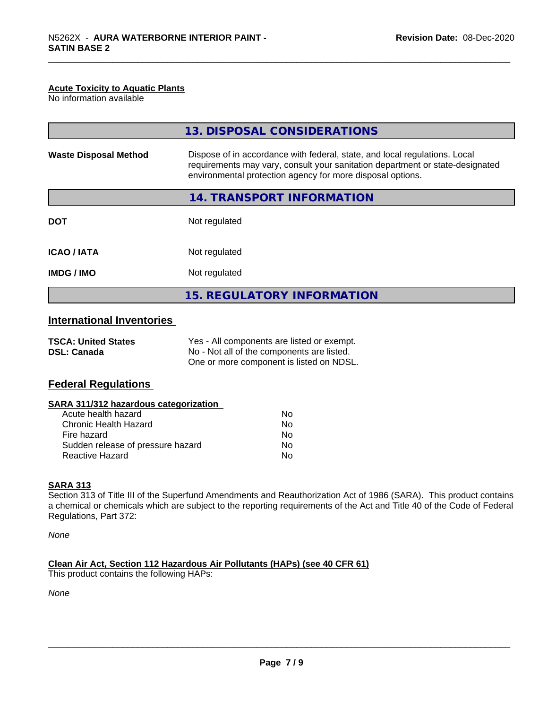### **Acute Toxicity to Aquatic Plants**

No information available

|                                  | 13. DISPOSAL CONSIDERATIONS                                                                                                                                                                                                                                                                                       |
|----------------------------------|-------------------------------------------------------------------------------------------------------------------------------------------------------------------------------------------------------------------------------------------------------------------------------------------------------------------|
| <b>Waste Disposal Method</b>     | Dispose of in accordance with federal, state, and local regulations. Local<br>requirements may vary, consult your sanitation department or state-designated<br>environmental protection agency for more disposal options.                                                                                         |
|                                  | 14. TRANSPORT INFORMATION                                                                                                                                                                                                                                                                                         |
| <b>DOT</b>                       | Not regulated                                                                                                                                                                                                                                                                                                     |
| <b>ICAO / IATA</b>               | Not regulated                                                                                                                                                                                                                                                                                                     |
| <b>IMDG / IMO</b>                | Not regulated                                                                                                                                                                                                                                                                                                     |
|                                  | <b>15. REGULATORY INFORMATION</b>                                                                                                                                                                                                                                                                                 |
| <b>International Inventories</b> |                                                                                                                                                                                                                                                                                                                   |
|                                  | $\mathcal{M}$ and $\mathcal{M}$ are $\mathcal{M}$ and $\mathcal{M}$ are $\mathcal{M}$ and $\mathcal{M}$ are $\mathcal{M}$ and $\mathcal{M}$ are $\mathcal{M}$ and $\mathcal{M}$ are $\mathcal{M}$ and $\mathcal{M}$ are $\mathcal{M}$ and $\mathcal{M}$ are $\mathcal{M}$ and $\mathcal{M}$ are $\mathcal{M}$ and |

| <b>TSCA: United States</b> | Yes - All components are listed or exempt. |
|----------------------------|--------------------------------------------|
| <b>DSL: Canada</b>         | No - Not all of the components are listed. |
|                            | One or more component is listed on NDSL.   |

### **Federal Regulations**

| Nο |  |
|----|--|
| Nο |  |
| No |  |
| No |  |
| No |  |
|    |  |

### **SARA 313**

Section 313 of Title III of the Superfund Amendments and Reauthorization Act of 1986 (SARA). This product contains a chemical or chemicals which are subject to the reporting requirements of the Act and Title 40 of the Code of Federal Regulations, Part 372:

*None*

**Clean Air Act,Section 112 Hazardous Air Pollutants (HAPs) (see 40 CFR 61)** This product contains the following HAPs:

*None*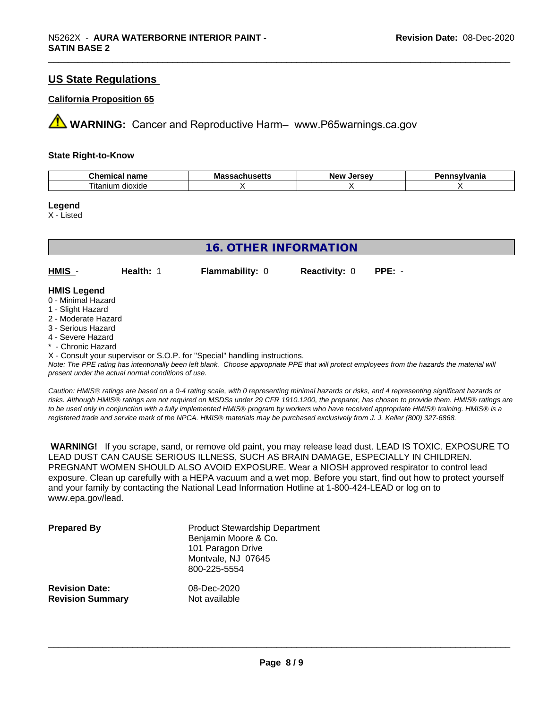### **US State Regulations**

### **California Proposition 65**

**AVIMARNING:** Cancer and Reproductive Harm– www.P65warnings.ca.gov

### **State Right-to-Know**

| Chemical                 | ма      | I            | vlvania |
|--------------------------|---------|--------------|---------|
| <b>nome</b>              | в втори | ימוח         |         |
| name                     | nuscus  | <b>Jerse</b> |         |
| --<br>dioxide<br>itaniun |         |              |         |

### **Legend**

X - Listed

| <b>16. OTHER INFORMATION</b>                                                         |           |                        |                      |          |  |  |
|--------------------------------------------------------------------------------------|-----------|------------------------|----------------------|----------|--|--|
|                                                                                      |           |                        |                      |          |  |  |
| HMIS -                                                                               | Health: 1 | <b>Flammability: 0</b> | <b>Reactivity: 0</b> | $PPE: -$ |  |  |
| <b>HMIS Legend</b><br>0 - Minimal Hazard<br>1 - Slight Hazard<br>2 - Moderate Hazard |           |                        |                      |          |  |  |
| 3 - Serious Hazard<br>4 - Severe Hazard<br>* - Chronic Hazard                        |           |                        |                      |          |  |  |

X - Consult your supervisor or S.O.P. for "Special" handling instructions.

*Note: The PPE rating has intentionally been left blank. Choose appropriate PPE that will protect employees from the hazards the material will present under the actual normal conditions of use.*

*Caution: HMISÒ ratings are based on a 0-4 rating scale, with 0 representing minimal hazards or risks, and 4 representing significant hazards or risks. Although HMISÒ ratings are not required on MSDSs under 29 CFR 1910.1200, the preparer, has chosen to provide them. HMISÒ ratings are to be used only in conjunction with a fully implemented HMISÒ program by workers who have received appropriate HMISÒ training. HMISÒ is a registered trade and service mark of the NPCA. HMISÒ materials may be purchased exclusively from J. J. Keller (800) 327-6868.*

 **WARNING!** If you scrape, sand, or remove old paint, you may release lead dust. LEAD IS TOXIC. EXPOSURE TO LEAD DUST CAN CAUSE SERIOUS ILLNESS, SUCH AS BRAIN DAMAGE, ESPECIALLY IN CHILDREN. PREGNANT WOMEN SHOULD ALSO AVOID EXPOSURE.Wear a NIOSH approved respirator to control lead exposure. Clean up carefully with a HEPA vacuum and a wet mop. Before you start, find out how to protect yourself and your family by contacting the National Lead Information Hotline at 1-800-424-LEAD or log on to www.epa.gov/lead.

| <b>Prepared By</b>      | <b>Product Stewardship Department</b><br>Benjamin Moore & Co.<br>101 Paragon Drive<br>Montvale, NJ 07645<br>800-225-5554 |
|-------------------------|--------------------------------------------------------------------------------------------------------------------------|
| <b>Revision Date:</b>   | 08-Dec-2020                                                                                                              |
| <b>Revision Summary</b> | Not available                                                                                                            |